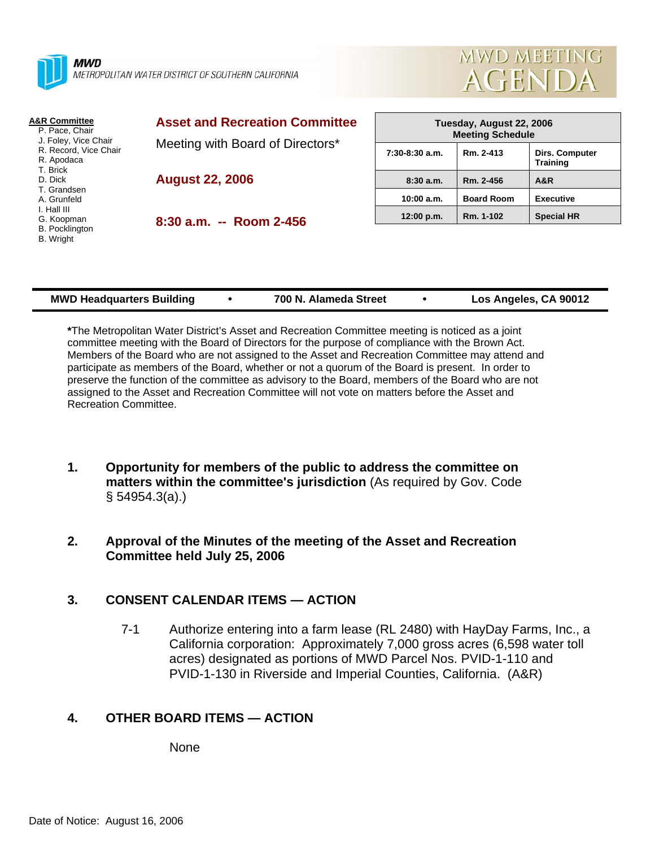



| <b>A&amp;R Committee</b><br>P. Pace, Chair<br>J. Foley, Vice Chair<br>R. Record, Vice Chair<br>R. Apodaca<br>T. Brick<br>D. Dick<br>T. Grandsen<br>A. Grunfeld<br>I. Hall III<br>G. Koopman<br><b>B.</b> Pocklington<br>B. Wright | <b>Asset and Recreation Committee</b><br>Meeting with Board of Directors* | Tuesday, August 22, 2006<br><b>Meeting Schedule</b> |                   |                                   |
|-----------------------------------------------------------------------------------------------------------------------------------------------------------------------------------------------------------------------------------|---------------------------------------------------------------------------|-----------------------------------------------------|-------------------|-----------------------------------|
|                                                                                                                                                                                                                                   |                                                                           | $7:30-8:30$ a.m.                                    | Rm. 2-413         | Dirs. Computer<br><b>Training</b> |
|                                                                                                                                                                                                                                   | <b>August 22, 2006</b>                                                    | 8:30a.m.                                            | Rm. 2-456         | A&R                               |
|                                                                                                                                                                                                                                   |                                                                           | 10:00 a.m.                                          | <b>Board Room</b> | <b>Executive</b>                  |
|                                                                                                                                                                                                                                   | $8:30$ a.m. $-$ Room 2-456                                                | 12:00 p.m.                                          | Rm. 1-102         | <b>Special HR</b>                 |
|                                                                                                                                                                                                                                   |                                                                           |                                                     |                   |                                   |

| <b>MWD Headquarters Building</b> |  | 700 N. Alameda Street |  | Los Angeles, CA 90012 |
|----------------------------------|--|-----------------------|--|-----------------------|
|----------------------------------|--|-----------------------|--|-----------------------|

**\***The Metropolitan Water District's Asset and Recreation Committee meeting is noticed as a joint committee meeting with the Board of Directors for the purpose of compliance with the Brown Act. Members of the Board who are not assigned to the Asset and Recreation Committee may attend and participate as members of the Board, whether or not a quorum of the Board is present. In order to preserve the function of the committee as advisory to the Board, members of the Board who are not assigned to the Asset and Recreation Committee will not vote on matters before the Asset and Recreation Committee.

- **1. Opportunity for members of the public to address the committee on matters within the committee's jurisdiction** (As required by Gov. Code § 54954.3(a).)
- **2. Approval of the Minutes of the meeting of the Asset and Recreation Committee held July 25, 2006**

# **3. CONSENT CALENDAR ITEMS — ACTION**

7-1 Authorize entering into a farm lease (RL 2480) with HayDay Farms, Inc., a California corporation: Approximately 7,000 gross acres (6,598 water toll acres) designated as portions of MWD Parcel Nos. PVID-1-110 and PVID-1-130 in Riverside and Imperial Counties, California. (A&R)

# **4. OTHER BOARD ITEMS — ACTION**

None